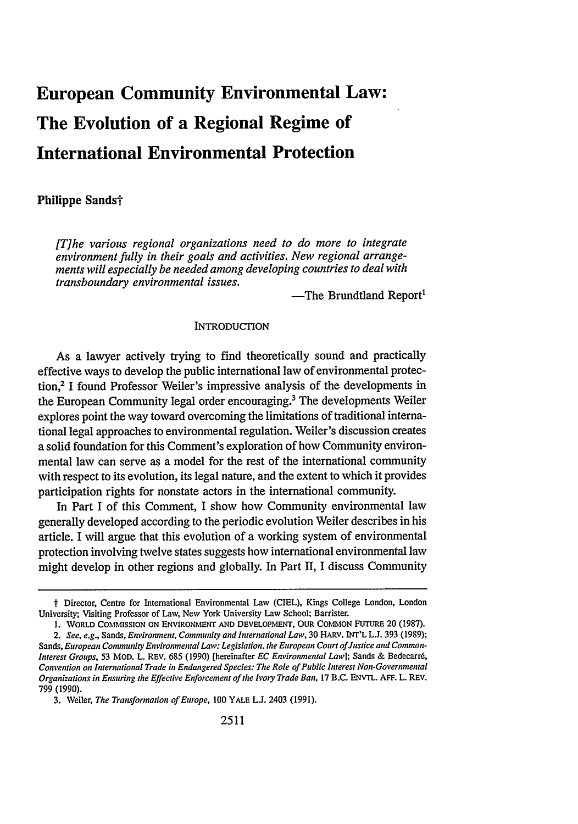# **European Community Environmental Law: The Evolution of a Regional Regime of International Environmental Protection**

## Philippe Sands†

*[The various regional organizations need to do more to integrate environment fully in their goals and activities. New regional arrangements will especially be needed among developing countries to deal with transboundary environmental issues.*

-The Brundtland Report<sup>1</sup>

#### **INTRODUCTION**

As a lawyer actively trying to find theoretically sound and practically effective ways to develop the public international law of environmental protection,2 I found Professor Weiler's impressive analysis of the developments in the European Community legal order encouraging.<sup>3</sup> The developments Weiler explores point the way toward overcoming the limitations of traditional international legal approaches to environmental regulation. Weiler's discussion creates a solid foundation for this Comment's exploration of how Community environmental law can serve as a model for the rest of the international community with respect to its evolution, its legal nature, and the extent to which it provides participation rights for nonstate actors in the international community.

In Part I of this Comment, I show how Community environmental law generally developed according to the periodic evolution Weiler describes in his article. I will argue that this evolution of a working system of environmental protection involving twelve states suggests how international environmental law might develop in other regions and globally. In Part II, I discuss Community

t Director, Centre for International Environmental Law (CIEL), Kings College London, London University; Visiting Professor of Law, New York University Law School; Barrister.

<sup>1.</sup> WORLD COMMISSION ON ENVIRONMENT AND DEVELOPMENT, OUR COMMON FUTURE 20 **(1987).**

*<sup>2.</sup> See, e.g.,* Sands, *Environment, Community and International Law,* **30** HARV. INT'L **L.J.** 393 (1989); Sands, *European Community Environmental Law: Legislation. the European Court of Justice and Common-Interest* Groups, 53 MOD. L. REV. 685 (1990) [hereinafter *EC Environmental Lawl;* Sands & Bedecarr6, *Convention on International Trade in Endangered Species: The Role of Public Interest Non-Governmental Organizations in Ensuring the Effective Enforcement of the Ivory Trade Ban,* 17 B.C. ENVTL. AFF. L. REV. 799 (1990).

<sup>3.</sup> Veiler, *The Transformation of Europe,* 100 YALE L.J. 2403 (1991).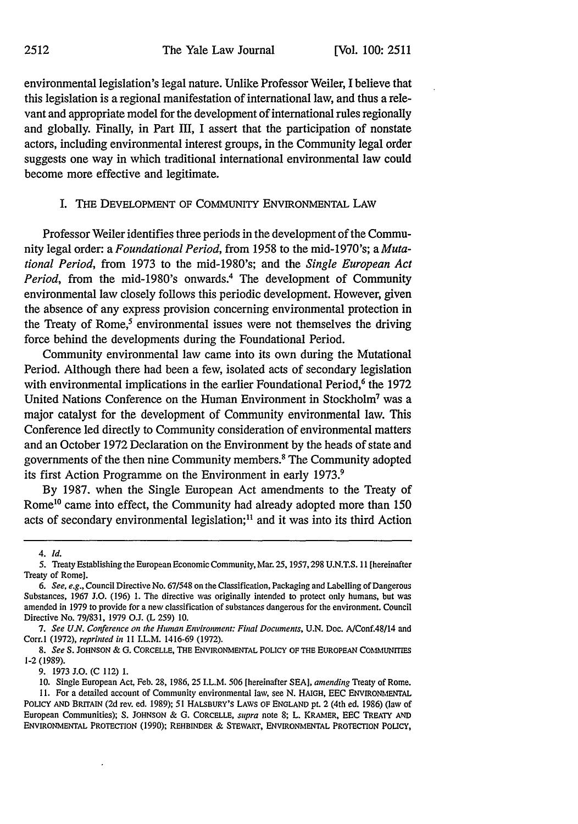environmental legislation's legal nature. Unlike Professor Weiler, I believe that this legislation is a regional manifestation of international law, and thus a relevant and appropriate model for the development of international rules regionally and globally. Finally, in Part III, I assert that the participation of nonstate actors, including environmental interest groups, in the Community legal order suggests one way in which traditional international environmental law could become more effective and legitimate.

### I. **THE** DEVELOPMENT OF COMMUNITY ENVIRONMENTAL LAW

Professor Weiler identifies three periods in the development of the Community legal order: a *Foundational Period,* from 1958 to the mid-1970's; *aMutational Period,* from 1973 to the mid-1980's; and the *Single European Act Period,* from the mid-1980's onwards.<sup>4</sup> The development of Community environmental law closely follows this periodic development. However, given the absence of any express provision concerning environmental protection in the Treaty of Rome, $<sup>5</sup>$  environmental issues were not themselves the driving</sup> force behind the developments during the Foundational Period.

Community environmental law came into its own during the Mutational Period. Although there had been a few, isolated acts of secondary legislation with environmental implications in the earlier Foundational Period,<sup>6</sup> the 1972 United Nations Conference on the Human Environment in Stockholm7 was a major catalyst for the development of Community environmental law. This Conference led directly to Community consideration of environmental matters and an October 1972 Declaration on the Environment by the heads of state and governments of the then nine Community members.' The Community adopted its first Action Programme on the Environment in early 1973.<sup>9</sup>

By 1987. when the Single European Act amendments to the Treaty of Rome<sup>10</sup> came into effect, the Community had already adopted more than 150 acts of secondary environmental legislation;<sup>11</sup> and it was into its third Action

9. 1973 J.O. **(C** 112) **1.**

*<sup>4.</sup> Id.*

*<sup>5.</sup>* Treaty Establishing the European Economic Community, Mar. 25,1957,298 U.N.T.S. 11 [hereinafter Treaty of Rome].

<sup>6.</sup> See, e.g., Council Directive No. *67/548* on the Classification, Packaging and Labelling of Dangerous Substances, 1967 J.O. (196) 1. The directive was originally intended to protect only humans, but was amended in 1979 to provide for a new classification of substances dangerous for the environment. Council Directive No. 79/831, 1979 O.J. (L 259) 10.

*<sup>7.</sup> See U.N. Conference on the Human Environment: Final Documents,* U.N. Doe. A/Conf.48/14 and Corr.l (1972), *reprinted in* 11 ILL.M. 1416-69 (1972).

*<sup>8.</sup> See* S. **JOHNSON** & G. CORCELLE, THE ENVIRONMENTAL POLICY OF THE EUROPEAN COMMUNITIES **1-2** (1989).

**<sup>10.</sup>** Single European Act, Feb. 28, 1986, 25 I.L.M. 506 [hereinafter SEA], *amending* Treaty of Rome. **11.** For a detailed account of Community environmental law, see N. HAIGH, EEC ENVIRONMENTAL POLICY **AND** BRITAIN (2d rev. ed. 1989); 51 HALSBURY'S LAWS OF ENGLAND **pt.** 2 (4th ed. 1986) (law of European Communities); S. **JOHNSON** & G. CORCELLE, *supra* note 8; L. KRAMER, EEC TREATY **AND ENVIRONMENTAL** PROTECTION (1990); REHBINDER & STEWART, **ENVIRONMENTAL** PROTECTION POLICY,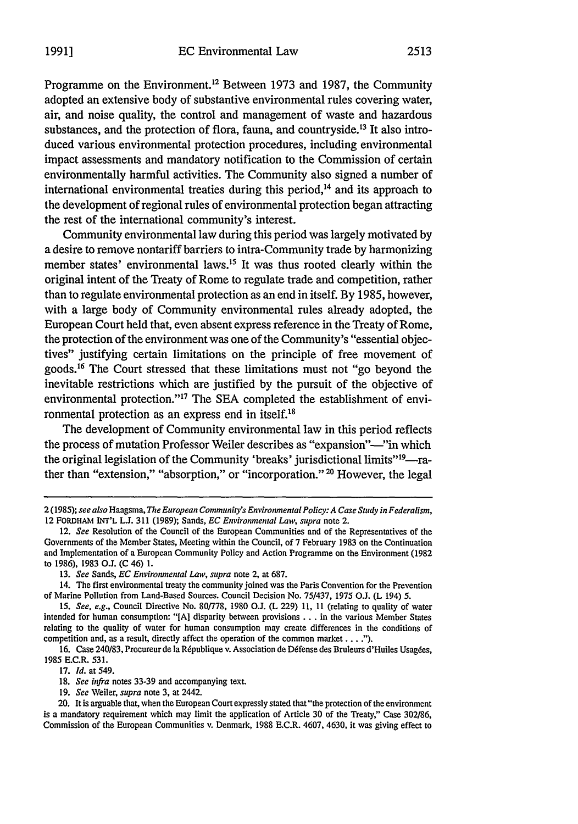Programme on the Environment.<sup>12</sup> Between 1973 and 1987, the Community adopted an extensive body of substantive environmental rules covering water, air, and noise quality, the control and management of waste and hazardous substances, and the protection of flora, fauna, and countryside.<sup>13</sup> It also introduced various environmental protection procedures, including environmental impact assessments and mandatory notification to the Commission of certain environmentally harmful activities. The Community also signed a number of international environmental treaties during this period, $14$  and its approach to the development of regional rules of environmental protection began attracting the rest of the international community's interest.

Community environmental law during this period was largely motivated by a desire to remove nontariff barriers to intra-Community trade by harmonizing member states' environmental laws.<sup>15</sup> It was thus rooted clearly within the original intent of the Treaty of Rome to regulate trade and competition, rather than to regulate environmental protection as an end in itself. By 1985, however, with a large body of Community environmental rules already adopted, the European Court held that, even absent express reference in the Treaty of Rome, the protection of the environment was one of the Community's "essential objectives" justifying certain limitations on the principle of free movement of goods.16 The Court stressed that these limitations must not "go beyond the inevitable restrictions which are justified by the pursuit of the objective of environmental protection."<sup>17</sup> The SEA completed the establishment of environmental protection as an express end in itself.<sup>18</sup>

The development of Community environmental law in this period reflects the process of mutation Professor Weiler describes as "expansion"—"in which the original legislation of the Community 'breaks' jurisdictional limits"<sup>19</sup>—rather than "extension," "absorption," or "incorporation." **20** However, the legal

- 17. *Id.* at 549.
- 18. *See infra* notes 33-39 and accompanying text.
- 19. *See* Weiler, *supra* note 3, at 2442.

20. It is arguable that, when the European Court expressly stated that "the protection of the environment is a mandatory requirement which may limit the application of Article 30 of the Treaty," Case 302/86, Commission of the European Communities v. Denmark, 1988 E.C.R. 4607, 4630, it was giving effect to

<sup>2(1985);</sup> see also Haagsma, *The European Community's Environmental Policy: A Case Study in Federalism,* 12 FORDHAMl INT'L L.J. 311 (1989); Sands, *EC Environmental Law, supra* note 2.

<sup>12.</sup> *See* Resolution of the Council of the European Communities and of the Representatives of the Governments of the Member States, Meeting within the Council, of 7 February 1983 on the Continuation and Implementation of a European Community Policy and Action Programme on the Environment (1982 to 1986), 1983 O.L (C 46) 1.

<sup>13.</sup> *See* Sands, *EC Environmental Law, supra* note 2, at 687.

<sup>14.</sup> The first environmental treaty the community joined was the Paris Convention for the Prevention of Marine Pollution from Land-Based Sources. Council Decision No. 75/437, 1975 O.J. (L 194) 5.

<sup>15.</sup> *See, e.g.,* Council Directive No. 80/778, 1980 **O.J.** (L 229) 11, 11 (relating to quality of water intended for human consumption: "[A] disparity between provisions **...** in the various Member States relating to the quality of water for human consumption may create differences in the conditions of competition and, as a result, directly affect the operation of the common market **... ").**

<sup>16.</sup> Case 240/83, Procureur de la République v. Association de Défense des Bruleurs d'Huiles Usagées, 1985 E.C.R. 531.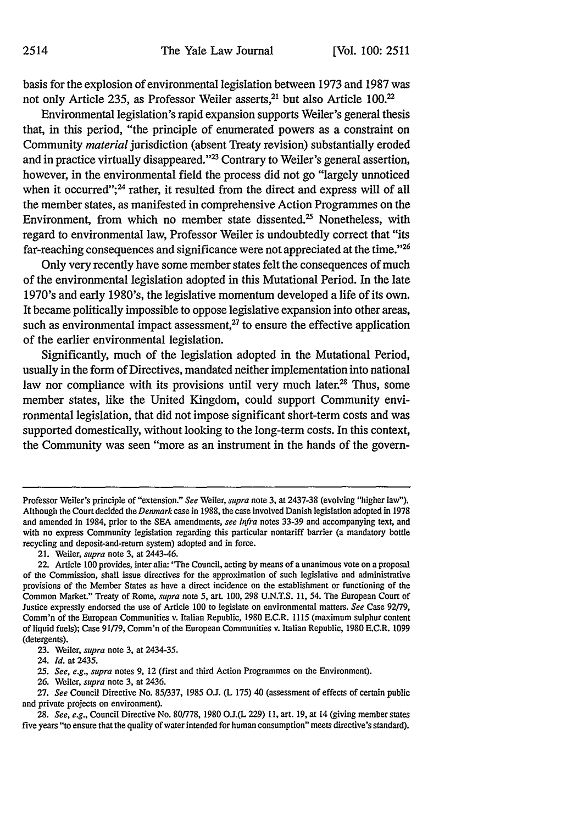basis for the explosion of environmental legislation between **1973** and **1987** was not only Article 235, as Professor Weiler asserts,<sup>21</sup> but also Article 100.<sup>2</sup>

Environmental legislation's rapid expansion supports Weiler's general thesis that, in this period, "the principle of enumerated powers as a constraint on Community *material* jurisdiction (absent Treaty revision) substantially eroded and in practice virtually disappeared."<sup>23</sup> Contrary to Weiler's general assertion, however, in the environmental field the process did not go "largely unnoticed when it occurred";<sup>24</sup> rather, it resulted from the direct and express will of all the member states, as manifested in comprehensive Action Programmes on the Environment, from which no member state dissented.<sup>25</sup> Nonetheless, with regard to environmental law, Professor Weiler is undoubtedly correct that "its far-reaching consequences and significance were not appreciated at the time."<sup>26</sup>

Only very recently have some member states felt the consequences of much of the environmental legislation adopted in this Mutational Period. In the late 1970's and early 1980's, the legislative momentum developed a life of its own. It became politically impossible to oppose legislative expansion into other areas, such as environmental impact assessment,<sup>27</sup> to ensure the effective application of the earlier environmental legislation.

Significantly, much of the legislation adopted in the Mutational Period, usually in the form of Directives, mandated neither implementation into national law nor compliance with its provisions until very much later.<sup>28</sup> Thus, some member states, like the United Kingdom, could support Community environmental legislation, that did not impose significant short-term costs and was supported domestically, without looking to the long-term costs. In this context, the Community was seen "more as an instrument in the hands of the govern-

21. Weiler, *supra* note **3,** at 2443-46.

24. *Id.* at 2435.

**25.** *See, e.g., supra* notes **9,** 12 (first and third Action Programmes on the Environment).

**26.** Weiler, *supra* note **3,** at 2436.

**27.** *See* Council Directive No. **85/337, 1985 OJ.** (L **175)** 40 (assessment of effects of certain public and private projects on environment).

*28. See, e.g.,* Council Directive No. **80/778, 1980 O.J.(L 229) 11,** art. **19,** at 14 (giving member states five years "to ensure that the quality of water intended for human consumption" meets directive's standard).

Professor Weiler's principle of "extension." *See* Weiler, *supra* note **3,** at **2437-38** (evolving "higher law"). Although the Courtdecided the *Denmark* case in **1988,** the case involved Danish legislation adopted in **1978** and amended in 1984, prior to the **SEA** amendments, *see infra* notes **33-39** and accompanying text, and with no express Community legislation regarding this particular nontariff barrier (a mandatory bottle recycling and deposit-and-return system) adopted and in force.

<sup>22.</sup> Article **100** provides, inter alia: "The Council, acting **by** means of a unanimous vote on a proposal of the Commission, shall issue directives for the approximation of such legislative and administrative provisions of the Member States as have a direct incidence on the establishment or functioning of the Common Market." Treaty of Rome, *supra* note **5,** art. **100, 298 U.N.T.S. 11,** 54. The European Court **of** Justice expressly endorsed the use of Article **100** to legislate on environmental matters. *See* Case 92/79, Comm'n of the European Communities v. Italian Republic, **1980** E.C.R. **1115** (maximum sulphur content of liquid fuels); Case **91/79,** Comm'n of the European Communities v. Italian Republic, **1980** E.C.R. **1099** (detergents).

**<sup>23.</sup>** Weiler, *supra* note **3,** at 2434-35.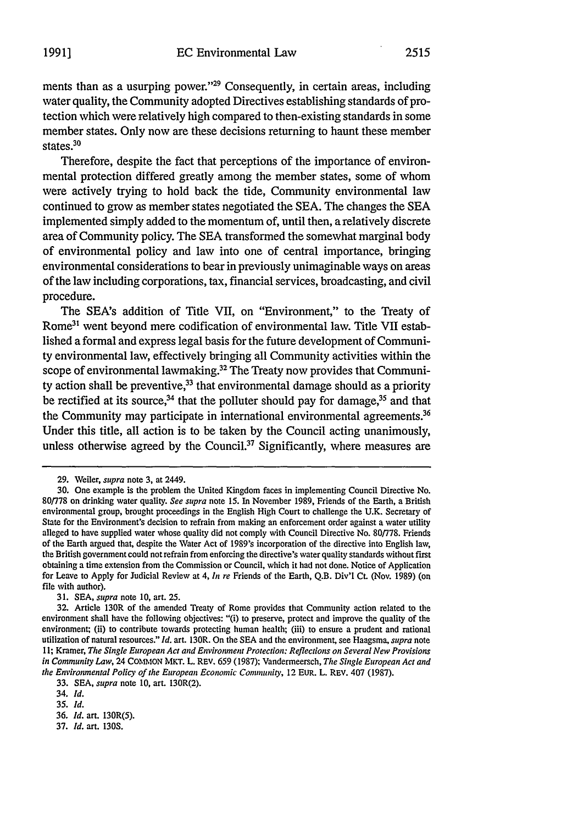ments than as a usurping power."<sup>29</sup> Consequently, in certain areas, including water quality, the Community adopted Directives establishing standards of protection which were relatively high compared to then-existing standards in some member states. Only now are these decisions returning to haunt these member states.<sup>30</sup>

Therefore, despite the fact that perceptions of the importance of environmental protection differed greatly among the member states, some of whom were actively trying to hold back the tide, Community environmental law continued to grow as member states negotiated the **SEA.** The changes the **SEA** implemented simply added to the momentum of, until then, a relatively discrete area of Community policy. The **SEA** transformed the somewhat marginal body of environmental policy and law into one of central importance, bringing environmental considerations to bear in previously unimaginable ways on areas of the law including corporations, tax, financial services, broadcasting, and civil procedure.

The SEA's addition of Title VII, on "Environment," to the Treaty of Rome<sup>31</sup> went beyond mere codification of environmental law. Title VII established a formal and express legal basis for the future development of Community environmental law, effectively bringing all Community activities within the scope of environmental lawmaking.<sup>32</sup> The Treaty now provides that Community action shall be preventive, $33$  that environmental damage should as a priority be rectified at its source,<sup>34</sup> that the polluter should pay for damage,<sup>35</sup> and that the Community may participate in international environmental agreements.<sup>36</sup> Under this title, all action is to be taken **by** the Council acting unanimously, unless otherwise agreed by the Council.<sup>37</sup> Significantly, where measures are

31. SEA, *supra* note 10, art. 25.

**<sup>29.</sup>** Weiler, *supra* note **3,** at 2449.

<sup>30.</sup> One example is the problem the United Kingdom faces in implementing Council Directive No. 80/778 on drinking water quality. See *supra* note 15. In November 1989, Friends of the Earth, a British environmental group, brought proceedings in the English High Court to challenge the **U.K.** Secretary of State for the Environment's decision to refrain from making an enforcement order against a water utility alleged to have supplied water whose quality did not comply with Council Directive No. 80778. Friends of the Earth argued that, despite the Water Act of 1989's incorporation of the directive into English law, the British government could not refrain from enforcing the directive's water quality standards without first obtaining a time extension from the Commission or Council, which it had not done. Notice of Application for Leave to Apply for Judicial Review at 4, *in re* Friends of the Earth, Q.B. Div'l Ct. (Nov. 1989) (on file with author).

<sup>32.</sup> Article 130R of the amended Treaty of Rome provides that Community action related to the environment shall have the following objectives: "(i) to preserve, protect and improve the quality of the environment; (ii) to contribute towards protecting human health; (iii) to ensure a prudent and rational utilization of natural resources." *Id.* art. 130R. On the SEA and the environment, see Haagsma, *supra* note **I1;** Kramer, *The Single European Act and Environment Protection: Reflections on Several New Provisions in Community Law,* 24 CoMMON MKT. L. REV. 659 (1987); Vandermeersch, *The Single European Act and the Environmental Policy of the European Economic Comnunity,* 12 EUR. L. REV. 407 (1987).

<sup>33.</sup> SEA, *supra* note 10, art. 130R(2).

<sup>34.</sup> *Id.*

**<sup>35.</sup>** *Id.*

<sup>36.</sup> *Id.* art. 130R(5).

<sup>37.</sup> *Id.* art. **130S.**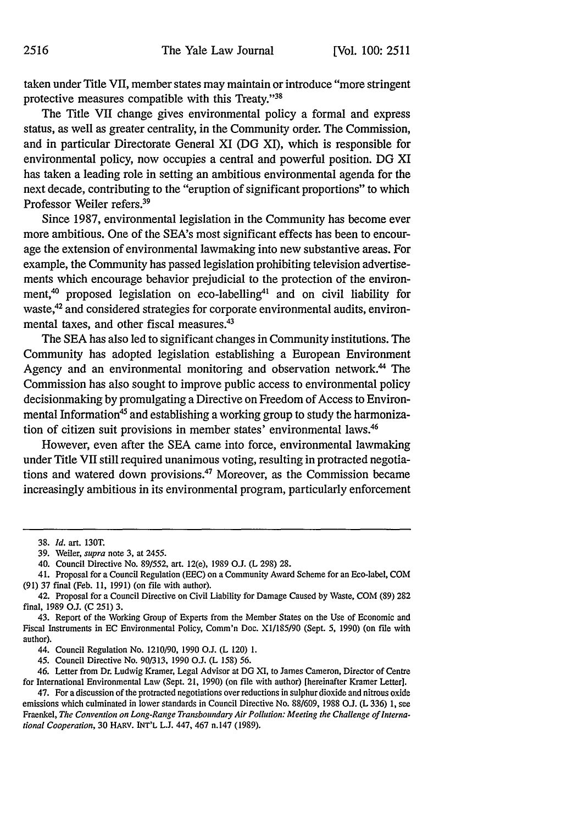taken under Title VII, member states may maintain or introduce "more stringent protective measures compatible with this Treaty. '38

The Title VII change gives environmental policy a formal and express status, as well as greater centrality, in the Community order. The Commission, and in particular Directorate General XI (DG XI), which is responsible for environmental policy, now occupies a central and powerful position. DG XI has taken a leading role in setting an ambitious environmental agenda for the next decade, contributing to the "eruption of significant proportions" to which Professor Weiler refers.<sup>39</sup>

Since 1987, environmental legislation in the Community has become ever more ambitious. One of the SEA's most significant effects has been to encourage the extension of environmental lawmaking into new substantive areas. For example, the Community has passed legislation prohibiting television advertisements which encourage behavior prejudicial to the protection of the environment,<sup>40</sup> proposed legislation on eco-labelling<sup>41</sup> and on civil liability for waste,<sup>42</sup> and considered strategies for corporate environmental audits, environmental taxes, and other fiscal measures.<sup>43</sup>

The SEA has also led to significant changes in Community institutions. The Community has adopted legislation establishing a European Environment Agency and an environmental monitoring and observation network.<sup>44</sup> The Commission has also sought to improve public access to environmental policy decisionmaking by promulgating a Directive on Freedom of Access to Environmental Information<sup>45</sup> and establishing a working group to study the harmonization of citizen suit provisions in member states' environmental laws. <sup>46</sup>

However, even after the SEA came into force, environmental lawmaking under Title VII still required unanimous voting, resulting in protracted negotiations and watered down provisions.47 Moreover, as the Commission became increasingly ambitious in its environmental program, particularly enforcement

<sup>38.</sup> *Id.* art. **130T.**

**<sup>39.</sup>** Weiler, *supra* note **3,** at 2455.

<sup>40.</sup> Council Directive No. 89/552, art. 12(e), 1989 O.J. (L 298) 28.

<sup>41.</sup> Proposal for a Council Regulation (EEC) on a Community Award Scheme for an Eco-label, COM (91) 37 final (Feb. **11,** 1991) (on file with author).

<sup>42.</sup> Proposal for a Council Directive on Civil Liability for Damage Caused by Waste, COM (89) 282 final, 1989 O.J. (C 251) 3.

<sup>43.</sup> Report of the Working Group of Experts from the Member States on the Use of Economic and Fiscal Instruments in EC Environmental Policy, Comm'n Doe. XI/185/90 (Sept. 5, 1990) (on file with author).

<sup>44.</sup> Council Regulation No. 1210190, 1990 **OJ.** (L 120) 1.

<sup>45.</sup> Council Directive No. 90/313, 1990 O.J. (L 158) 56.

<sup>46.</sup> Letter from Dr. Ludwig Kramer, Legal Advisor at DG XI, to James Cameron, Director of Centre for International Environmental Law (Sept. 21, 1990) (on file with author) [hereinafter Kramer Letter].

<sup>47.</sup> For a discussion of the protracted negotiations over reductions in sulphur dioxide and nitrous oxide emissions which culminated in lower standards in Council Directive No. 88/609, 1988 **O.J.** (L 336) 1, see Fraenkel, *The Convention on Long-Range Transboundary Air Pollution: Meeting the Challenge of International Cooperation,* **30** HARV. INT'L **L.J.** 447, 467 n.147 (1989).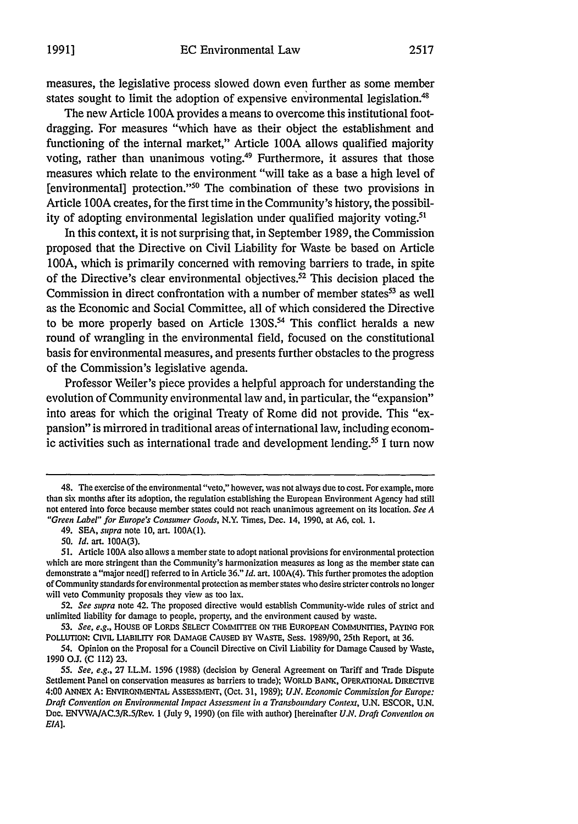The new Article 100A provides a means to overcome this institutional footdragging. For measures "which have as their object the establishment and functioning of the internal market," Article **100A** allows qualified majority voting, rather than unanimous voting.<sup>49</sup> Furthermore, it assures that those measures which relate to the environment "will take as a base a high level of [environmental] protection."<sup>50</sup> The combination of these two provisions in Article 1O0A creates, for the first time in the Community's history, the possibility of adopting environmental legislation under qualified majority voting.<sup>51</sup>

In this context, it is not surprising that, in September 1989, the Commission proposed that the Directive on Civil Liability for Waste be based on Article **100A,** which is primarily concerned with removing barriers to trade, in spite of the Directive's clear environmental objectives.52 This decision placed the Commission in direct confrontation with a number of member states<sup>53</sup> as well as the Economic and Social Committee, all of which considered the Directive to be more properly based on Article **130S."** This conflict heralds a new round of wrangling in the environmental field, focused on the constitutional basis for environmental measures, and presents further obstacles to the progress of the Commission's legislative agenda.

Professor Weiler's piece provides a helpful approach for understanding the evolution of Community environmental law and, in particular, the "expansion" into areas for which the original Treaty of Rome did not provide. This "expansion" is mirrored in traditional areas of international law, including economic activities such as international trade and development lending.<sup>55</sup> I turn now

<sup>48.</sup> The exercise of the environmental "veto," however, was not always due to cost. For example, more than six months after its adoption, the regulation establishing the European Environment Agency had still not entered into force because member states could not reach unanimous agreement on its location. *See A "Green Label" for Europe's Consumer Goods,* N.Y. Times, Dec. 14, 1990, at A6, col. 1.

<sup>49.</sup> SEA, *supra* note **10,** art. 100A(1).

<sup>50.</sup> *Id.* art. 100A(3).

<sup>51.</sup> Article **100A** also allows a member state to adopt national provisions for environmental protection which are more stringent than the Community's harmonization measures as long as the member state can demonstrate a "major need[] referred to in Article 36." *Id.* art. 100A(4). This further promotes the adoption of Community standards for environmental protection as member states who desire stricter controls no longer will veto Community proposals they view as too lax.

<sup>52.</sup> *See supra* note 42. The proposed directive would establish Community-wide rules of strict and unlimited liability for damage to people, property, and the environment caused by waste.

**<sup>53.</sup>** *See, e.g.,* HOUSE OF LORDS SELECT CONITTEE ON THE EUROPEAN COMMUNITIES, PAYING FOR POLLUTION: CIVIL LIABILITY FOR DAMAGE CAUSED BY WASTE, Sess. 1989/90, 25th Report, at 36.

<sup>54.</sup> Opinion on the Proposal for a Council Directive on Civil Liability for Damage Caused by Waste, 1990 *O.L* (C 112) 23.

<sup>55.</sup> *See, e.g.,* 27 LL.M. 1596 (1988) (decision by General Agreement on Tariff and Trade Dispute Settlement Panel on conservation measures as barriers to trade); WORLD BANK, OPERATIONAL DIRECTIVE 4:00 ANNEX A: ENVIRONMENTAL AsSESSMENT, (Oct. 31, 1989); *U.N. Economic Commission for Europe: Draft Convention on Environmental Impact Assessment in a Transboundary Context,* U.N. ESCOR, U.N. Doe. ENVWA/AC.3/R.5/Rev. **I** (July 9, 1990) (on file with author) [hereinafter *U.N. Draft Convention on EIA].*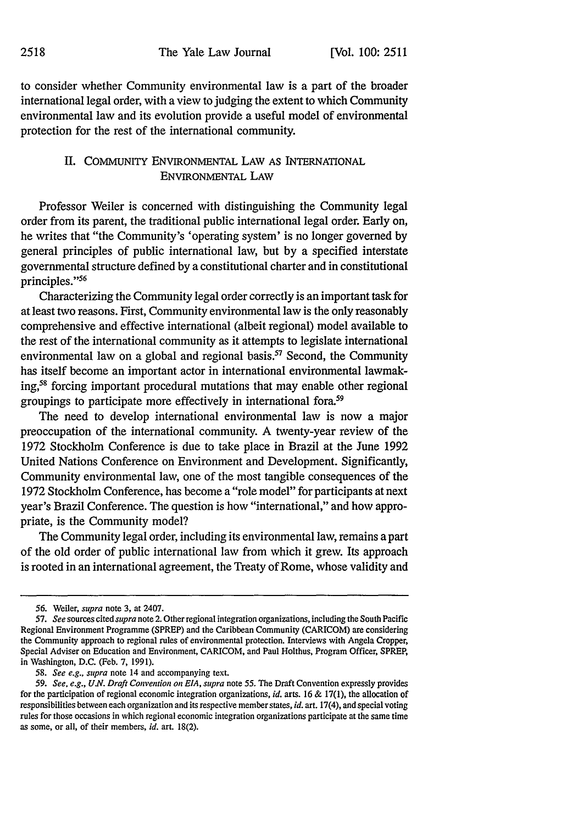to consider whether Community environmental law is a part of the broader international legal order, with a view to judging the extent to which Community environmental law and its evolution provide a useful model of environmental protection for the rest of the international community.

## II. COMMUNITY ENVIRONMENTAL LAW AS INTERNATIONAL ENVIRONMENTAL LAW

Professor Weiler is concerned with distinguishing the Community legal order from its parent, the traditional public international legal order. Early on, he writes that "the Community's 'operating system' is no longer governed by general principles of public international law, but by a specified interstate governmental structure defined by a constitutional charter and in constitutional principles."<sup>56</sup>

Characterizing the Community legal order correctly is an important task for at least two reasons. First, Community environmental law is the only reasonably comprehensive and effective international (albeit regional) model available to the rest of the international community as it attempts to legislate international environmental law on a global and regional basis. $57$  Second, the Community has itself become an important actor in international environmental lawmaking,58 forcing important procedural mutations that may enable other regional groupings to participate more effectively in international fora.59

The need to develop international environmental law is now a major preoccupation of the international community. A twenty-year review of the 1972 Stockholm Conference is due to take place in Brazil at the June 1992 United Nations Conference on Environment and Development. Significantly, Community environmental law, one of the most tangible consequences of the 1972 Stockholm Conference, has become a "role model" for participants at next year's Brazil Conference. The question is how "international," and how appropriate, is the Community model?

The Community legal order, including its environmental law, remains a part of the old order of public international law from which it grew. Its approach is rooted in an international agreement, the Treaty of Rome, whose validity and

<sup>56.</sup> Weiler, *supra* note 3, at 2407.

<sup>57.</sup> *See* sources cited *supra* note 2. Other regional integration organizations, including the South Pacific Regional Environment Programme (SPREP) and the Caribbean Community (CARICOM) are considering the Community approach to regional rules of environmental protection. Interviews with Angela Cropper, Special Adviser on Education and Environment, CARICOM, and Paul HoIthus, Program Officer, SPREP, in Washington, D.C. (Feb. 7, 1991).

<sup>58.</sup> *See e.g., supra* note 14 and accompanying text.

*<sup>59.</sup> See, e.g., U.N. Draft Convention on EIA, supra* note 55. The Draft Convention expressly provides for the participation of regional economic integration organizations, *id.* arts. 16 & 17(1), the allocation of responsibilities between each organization and its respective member states, *id.* art. 17(4), and special voting rules for those occasions in which regional economic integration organizations participate at the same time as some, or all, of their members, *id.* art. 18(2).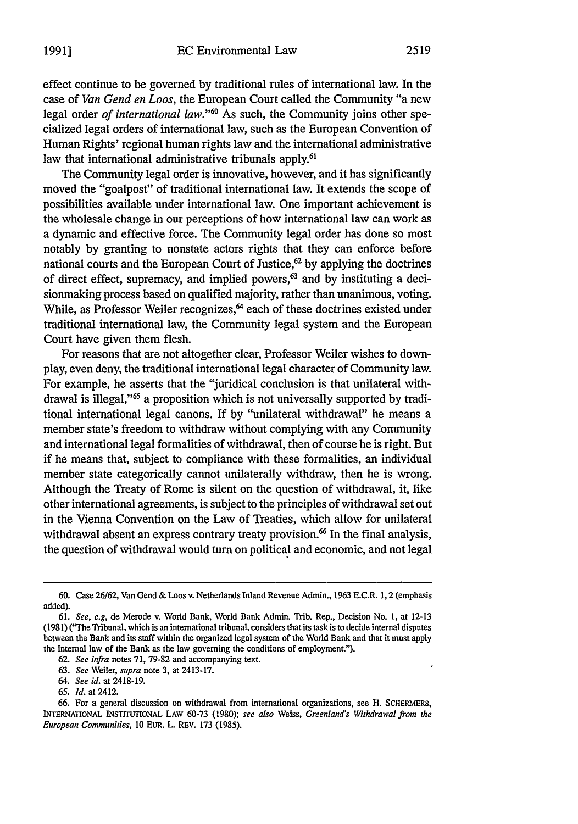effect continue to be governed by traditional rules of international law. In the case of *Van Gend en Loos,* the European Court called the Community "a new legal order *of international law."60* As such, the Community joins other specialized legal orders of international law, such as the European Convention of Human Rights' regional human rights law and the international administrative law that international administrative tribunals apply.<sup>61</sup>

The Community legal order is innovative, however, and it has significantly moved the "goalpost" of traditional international law. It extends the scope of possibilities available under international law. One important achievement is the wholesale change in our perceptions of how international law can work as a dynamic and effective force. The Community legal order has done so most notably by granting to nonstate actors rights that they can enforce before national courts and the European Court of Justice, $62$  by applying the doctrines of direct effect, supremacy, and implied powers, $63$  and by instituting a decisionmaking process based on qualified majority, rather than unanimous, voting. While, as Professor Weiler recognizes,<sup>64</sup> each of these doctrines existed under traditional international law, the Community legal system and the European Court have given them flesh.

For reasons that are not altogether clear, Professor Weiler wishes to downplay, even deny, the traditional international legal character of Community law. For example, he asserts that the "juridical conclusion is that unilateral withdrawal is illegal," 65 a proposition which is not universally supported by traditional international legal canons. If by "unilateral withdrawal" he means a member state's freedom to withdraw without complying with any Community and international legal formalities of withdrawal, then of course he is right. But if he means that, subject to compliance with these formalities, an individual member state categorically cannot unilaterally withdraw, then he is wrong. Although the Treaty of Rome is silent on the question of withdrawal, it, like other international agreements, is subject to the principles of withdrawal set out in the Vienna Convention on the Law of Treaties, which allow for unilateral withdrawal absent an express contrary treaty provision.<sup>66</sup> In the final analysis, the question of withdrawal would turn on political and economic, and not legal

**<sup>60.</sup>** Case 26/62, Van Gend & Loos v. Netherlands Inland Revenue Admin., 1963 E.C.R. 1,2 (emphasis added).

<sup>61.</sup> *See, e.g,* de Merode v. Vorld Bank, world Bank Admin. Trib. Rep., Decision No. **1,** at 12-13 (198 **1)** ("The Tribunal, which is an international tribunal, considers that its task is to decide internal disputes between the Bank and its staff within the organized legal system of the world Bank and that it must apply the internal law of the Bank as the law governing the conditions of employment.").

<sup>62.</sup> *See infra* notes 71, 79-82 and accompanying text.

<sup>63.</sup> *See* Weiler, *supra* note 3, at 2413-17.

<sup>64.</sup> *See id.* at 2418-19.

<sup>65.</sup> *Id.* at 2412.

<sup>66.</sup> For a general discussion on withdrawal from international organizations, see H. SCHERMERS, **INTERNATIONAL INSTITUTIONAL LAW** 60-73 (1980); *see also* Weiss, *Greenland's Withdrawal from the European Communities,* **10** EuR. L. REV. **173 (1985).**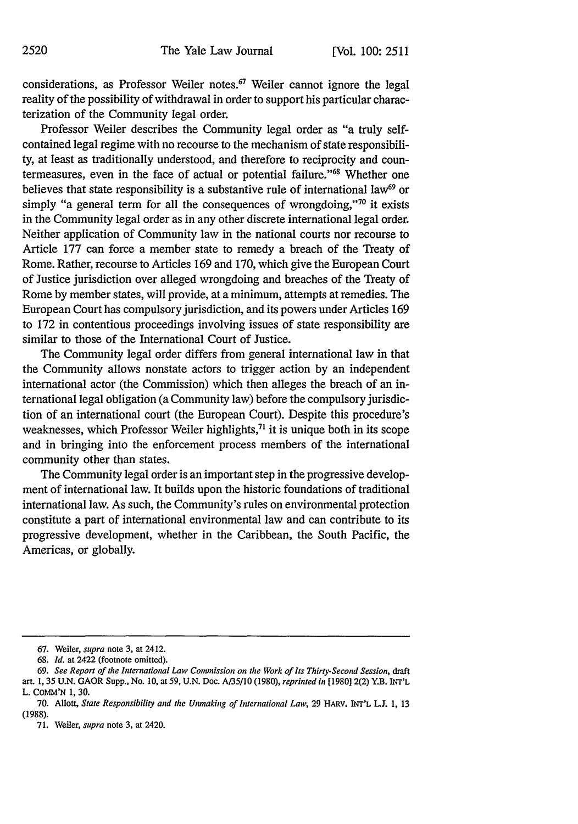considerations, as Professor Weiler notes. $^{67}$  Weiler cannot ignore the legal reality of the possibility of withdrawal in order to support his particular characterization of the Community legal order.

Professor Weiler describes the Community legal order as "a truly selfcontained legal regime with no recourse to the mechanism of state responsibility, at least as traditionally understood, and therefore to reciprocity and countermeasures, even in the face of actual or potential failure."6 Whether one believes that state responsibility is a substantive rule of international law<sup>69</sup> or simply "a general term for all the consequences of wrongdoing," $\frac{1}{10}$  it exists in the Community legal order as in any other discrete international legal order. Neither application of Community law in the national courts nor recourse to Article 177 can force a member state to remedy a breach of the Treaty of Rome. Rather, recourse to Articles 169 and 170, which give the European Court of Justice jurisdiction over alleged wrongdoing and breaches of the Treaty of Rome by member states, will provide, at a minimum, attempts at remedies. The European Court has compulsory jurisdiction, and its powers under Articles 169 to 172 in contentious proceedings involving issues of state responsibility are similar to those of the International Court of Justice.

The Community legal order differs from general international law in that the Community allows nonstate actors to trigger action by an independent international actor (the Commission) which then alleges the breach of an international legal obligation (a Community law) before the compulsory jurisdiction of an international court (the European Court). Despite this procedure's weaknesses, which Professor Weiler highlights,<sup>71</sup> it is unique both in its scope and in bringing into the enforcement process members of the international community other than states.

The Community legal order is an important step in the progressive development of international law. It builds upon the historic foundations of traditional international law. As such, the Community's rules on environmental protection constitute a part of international environmental law and can contribute to its progressive development, whether in the Caribbean, the South Pacific, the Americas, or globally.

<sup>67.</sup> Weiler, *supra* note **3,** at 2412.

<sup>68.</sup> *Id.* at 2422 (footnote omitted).

<sup>69.</sup> *See Report of the International Law Commission on the Work of Its Thirty-Second Session, draft* art. 1, 35 U.N. GAOR Supp., No. **10,** at 59, U.N. Doc. A/35/10 (1980), *reprinted in* [1980] 2(2) Y.B. INT'L L. CoMM'N **1, 30.**

<sup>70.</sup> Allott, *State Responsibility and the Unmaking of International Law,* 29 HARV. INT'L L.I 1, 13 (1988).

<sup>71.</sup> Weiler, *supra* note 3, at 2420.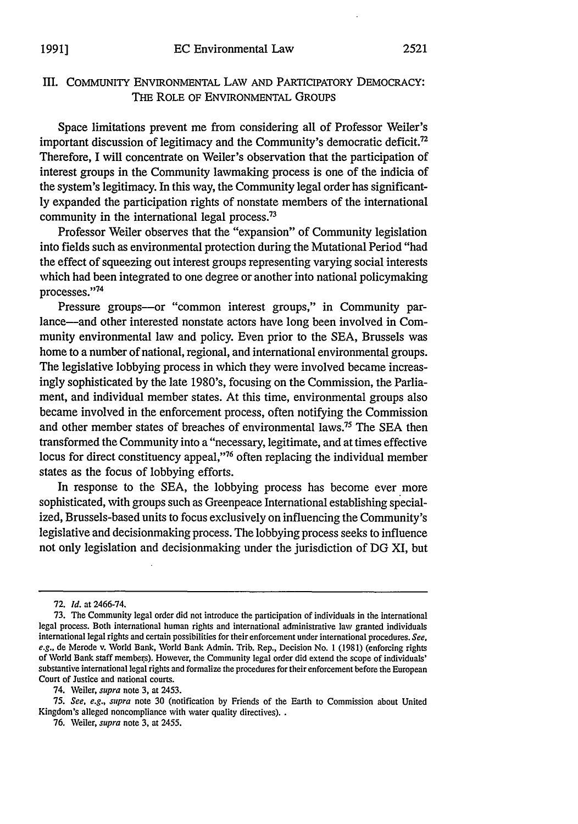## III. COMMUNITY ENVIRONMENTAL LAW AND PARTICIPATORY DEMOCRACY: THE ROLE OF ENVIRONMENTAL GROUPS

Space limitations prevent me from considering all of Professor Weiler's important discussion of legitimacy and the Community's democratic deficit.<sup>72</sup> Therefore, I will concentrate on Weiler's observation that the participation of interest groups in the Community lawmaking process is one of the indicia of the system's legitimacy. In this way, the Community legal order has significantly expanded the participation rights of nonstate members of the international community in the international legal process.<sup>73</sup>

Professor Weiler observes that the "expansion" of Community legislation into fields such as environmental protection during the Mutational Period "had the effect of squeezing out interest groups representing varying social interests which had been integrated to one degree or another into national policymaking processes."'74

Pressure groups-or "common interest groups," in Community parlance-and other interested nonstate actors have long been involved in Community environmental law and policy. Even prior to the SEA, Brussels was home to a number of national, regional, and international environmental groups. The legislative lobbying process in which they were involved became increasingly sophisticated by the late 1980's, focusing on the Commission, the Parliament, and individual member states. At this time, environmental groups also became involved in the enforcement process, often notifying the Commission and other member states of breaches of environmental laws.<sup>75</sup> The SEA then transformed the Community into a "necessary, legitimate, and at times effective locus for direct constituency appeal,"<sup>76</sup> often replacing the individual member states as the focus of lobbying efforts.

In response to the SEA, the lobbying process has become ever more sophisticated, with groups such as Greenpeace International establishing specialized, Brussels-based units to focus exclusively on influencing the Community's legislative and decisionmaking process. The lobbying process seeks to influence not only legislation and decisionmaking under the jurisdiction of DG XI, but

74. Weiler, *supra* note 3, at 2453.

75. *See, e.g., supra* note 30 (notification by Friends of the Earth to Commission about United Kingdom's alleged noncompliance with water quality directives). .

76. Weiler, *supra* note 3, at 2455.

<sup>72.</sup> *Id.* at 2466-74.

<sup>73.</sup> The Community legal order did not introduce the participation of individuals in the international legal process. Both international human rights and international administrative law granted individuals international legal rights and certain possibilities for their enforcement under international procedures. *See,* e.g., de Merode v. World Bank, World Bank Admin. Trib. Rep., Decision No. 1 (1981) (enforcing rights of World Bank staff members). However, the Community legal order did extend the scope of individuals' substantive international legal rights and formalize the procedures for their enforcement before the European Court of Justice and national courts.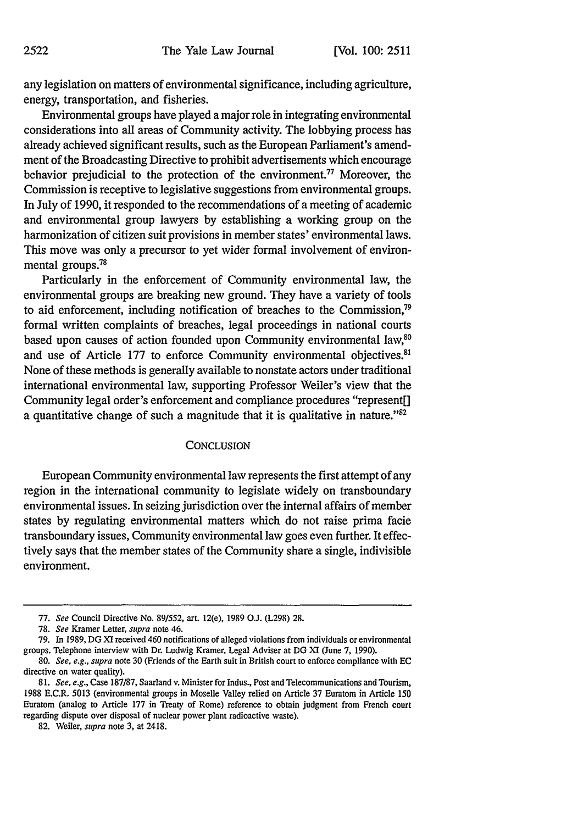any legislation on matters of environmental significance, including agriculture, energy, transportation, and fisheries.

Environmental groups have played a major role in integrating environmental considerations into all areas of Community activity. The lobbying process has already achieved significant results, such as the European Parliament's amendment of the Broadcasting Directive to prohibit advertisements which encourage behavior prejudicial to the protection of the environment.<sup>77</sup> Moreover, the Commission is receptive to legislative suggestions from environmental groups. In July of 1990, it responded to the recommendations of a meeting of academic and environmental group lawyers by establishing a working group on the harmonization of citizen suit provisions in member states' environmental laws. This move was only a precursor to yet wider formal involvement of environmental groups.<sup>78</sup>

Particularly in the enforcement of Community environmental law, the environmental groups are breaking new ground. They have a variety of tools to aid enforcement, including notification of breaches to the Commission,<sup>79</sup> formal written complaints of breaches, legal proceedings in national courts based upon causes of action founded upon Community environmental law,<sup>80</sup> and use of Article 177 to enforce Community environmental objectives.<sup>81</sup> None of these methods is generally available to nonstate actors under traditional international environmental law, supporting Professor Weiler's view that the Community legal order's enforcement and compliance procedures "represent[] a quantitative change of such a magnitude that it is qualitative in nature." $82$ 

#### **CONCLUSION**

European Community environmental law represents the first attempt of any region in the international community to legislate widely on transboundary environmental issues. In seizing jurisdiction over the internal affairs of member states by regulating environmental matters which do not raise prima facie transboundary issues, Community environmental law goes even further. It effectively says that the member states of the Community share a single, indivisible environment.

<sup>77.</sup> *See* Council Directive No. 89/552, art. 12(e), 1989 O.J. (L298) 28.

**<sup>78.</sup>** *See* Kramer Letter, *supra* note 46.

<sup>79.</sup> In 1989, DG XI received 460 notifications of alleged violations from individuals or environmental groups. Telephone interview with Dr. Ludwig Kramer, Legal Adviser at DG XI (June 7, 1990).

<sup>80.</sup> *See, e.g., supra* note 30 (Friends of the Earth suit in British court to enforce compliance with EC directive on water quality).

*<sup>81.</sup> See, e.g.,* Case 187/87, Saarland v. Minister for Indus., Post and Telecommunications and Tourism, 1988 E.C.R. 5013 (environmental groups in Moselle Valley relied on Article 37 Euratom in Article 150 Euratom (analog to Article 177 in Treaty of Rome) reference to obtain judgment from French court regarding dispute over disposal of nuclear power plant radioactive waste).

<sup>82.</sup> Weiler, *supra* note 3, at 2418.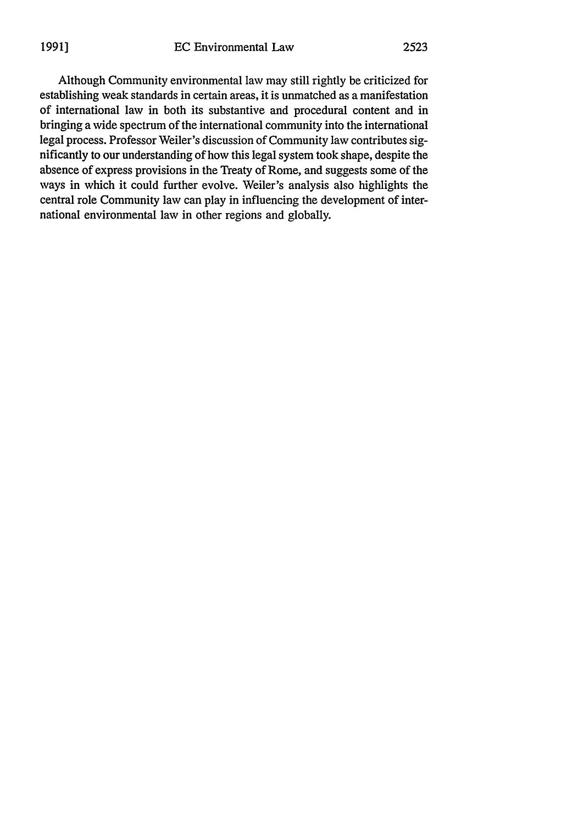Although Community environmental law may still rightly be criticized for establishing weak standards in certain areas, it is unmatched as a manifestation of international law in both its substantive and procedural content and in bringing a wide spectrum of the international community into the international legal process. Professor Weiler's discussion of Community law contributes significantly to our understanding of how this legal system took shape, despite the absence of express provisions in the Treaty of Rome, and suggests some of the ways in which it could further evolve. Weiler's analysis also highlights the central role Community law can play in influencing the development of international environmental law in other regions and globally.